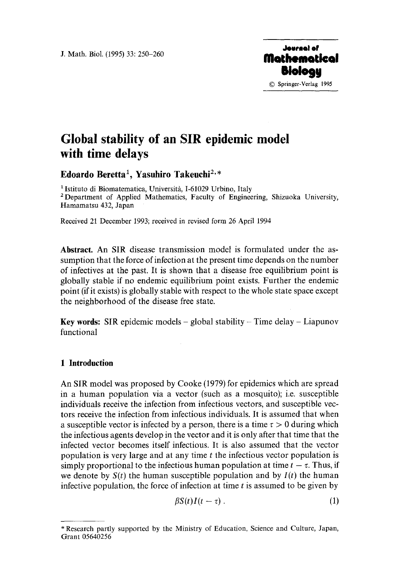

# **Global stability of an SIR epidemic model with time delays**

## Edoardo Beretta<sup>1</sup>, Yasuhiro Takeuchi<sup>2,\*</sup>

<sup>1</sup> Istituto di Biomatematica, Università, I-61029 Urbino, Italy 2 Department of Applied Mathematics, Faculty of Engineering, Shizuoka University, Hamamatsu 432, Japan

Received 21 December 1993; received in revised form 26 April 1994

**Abstract.** An SIR disease transmission model is formulated under the assumption that the force of infection at the present time depends on the number of infectives at the past. It is shown that a disease free equilibrium point is globally stable if no endemic equilibrium point exists. Further the endemic point (if it exists) is globally stable with respect to the whole state space except the neighborhood of the disease free state.

**Key words:** SIR epidemic models – global stability – Time delay – Liapunov functional

#### **1 Introduction**

An SIR model was proposed by Cooke (1979) for epidemics which are spread in a human population via a vector (such as a mosquito); i.e. susceptible individuals receive the infection from infectious vectors, and susceptible vectors receive the infection from infectious individuals. It is assumed that when a susceptible vector is infected by a person, there is a time  $\tau > 0$  during which the infectious agents develop in the vector and it is only after that time that the infected vector becomes itself infectious. It is also assumed that the vector population is very large and at any time  $t$  the infectious vector population is simply proportional to the infectious human population at time  $t - \tau$ . Thus, if we denote by  $S(t)$  the human susceptible population and by  $I(t)$  the human infective population, the force of infection at time  $t$  is assumed to be given by

$$
\beta S(t)I(t-\tau)\,. \tag{1}
$$

<sup>\*</sup> Research partly supported by the Ministry of Education, Science and Culture, Japan, Grant 05640256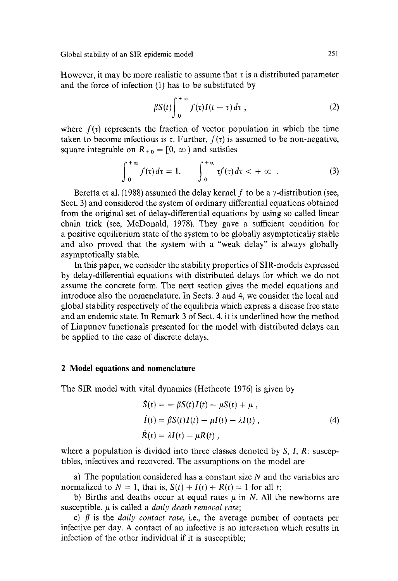However, it may be more realistic to assume that  $\tau$  is a distributed parameter and the force of infection  $(1)$  has to be substituted by

$$
\beta S(t) \int_0^{+\infty} f(\tau) I(t-\tau) d\tau , \qquad (2)
$$

where  $f(\tau)$  represents the fraction of vector population in which the time taken to become infectious is  $\tau$ . Further,  $f(\tau)$  is assumed to be non-negative, square integrable on  $R_{\pm 0} = [0, \infty)$  and satisfies

$$
\int_0^{+\infty} f(\tau) d\tau = 1, \qquad \int_0^{+\infty} \tau f(\tau) d\tau < +\infty . \tag{3}
$$

Beretta et al. (1988) assumed the delay kernel f to be a *y*-distribution (see, Sect. 3) and considered the system of ordinary differential equations obtained from the original set of delay-differential equations by using so called linear chain trick (see, McDonald, 1978). They gave a sufficient condition for a positive equilibrium state of the system to be globally asymptotically stable and also proved that the system with a "weak delay" is always globally asymptotically stable.

In this paper, we consider the stability properties of SIR-models expressed by delay-differential equations with distributed delays for which we do not assume the concrete form. The next section gives the model equations and introduce also the nomenclature. In Sects. 3 and 4, we consider the local and global stability respectively of the equilibria which express a disease free state and an endemic state. In Remark 3 of Sect. 4, it is underlined how the method of Liapunov functionals presented for the model with distributed delays can be applied to the case of discrete delays.

#### **2 Model equations and nomenclature**

The SIR model with vital dynamics (Hethcote 1976) is given by

$$
\dot{S}(t) = -\beta S(t)I(t) - \mu S(t) + \mu,
$$
  
\n
$$
\dot{I}(t) = \beta S(t)I(t) - \mu I(t) - \lambda I(t),
$$
  
\n
$$
\dot{R}(t) = \lambda I(t) - \mu R(t),
$$
\n(4)

where a population is divided into three classes denoted by  $S, I, R$ : susceptibles, infectives and recovered. The assumptions on the model are

a) The population considered has a constant size  $N$  and the variables are normalized to  $N = 1$ , that is,  $S(t) + I(t) + R(t) = 1$  for all t;

b) Births and deaths occur at equal rates  $\mu$  in N. All the newborns are susceptible.  $\mu$  is called a *daily death removal rate*;

c)  $\beta$  is the *daily contact rate*, *i.e.*, the average number of contacts per infective per day. A contact of an infective is an interaction which results in infection of the other individual if it is susceptible;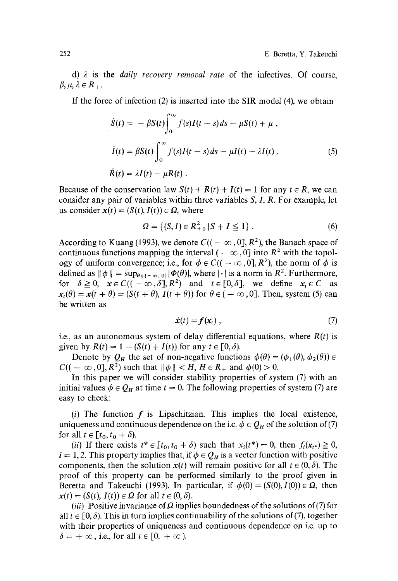d)  $\lambda$  is the *daily recovery removal rate* of the infectives. Of course,  $\beta, \mu, \lambda \in R_+$ .

If the force of infection (2) is inserted into the SIR model (4), we obtain

$$
\dot{S}(t) = -\beta S(t) \int_0^\infty f(s)I(t-s) ds - \mu S(t) + \mu,
$$
  
\n
$$
\dot{I}(t) = \beta S(t) \int_0^\infty f(s)I(t-s) ds - \mu I(t) - \lambda I(t),
$$
  
\n
$$
\dot{R}(t) = \lambda I(t) - \mu R(t).
$$
\n(5)

Because of the conservation law  $S(t) + R(t) + I(t) = 1$  for any  $t \in R$ , we can consider any pair of variables within three variables S, I, R. For example, let us consider  $x(t) = (S(t), I(t)) \in \Omega$ , where

$$
\Omega = \{ (S, I) \in R_{+0}^2 \mid S + I \le 1 \} . \tag{6}
$$

According to Kuang (1993), we denote  $C((-\infty, 0], R^2)$ , the Banach space of continuous functions mapping the interval ( $-\infty$ , 0] into  $R^2$  with the topology of uniform convergence; i.e., for  $\phi \in C((-\infty, 0], R^2)$ , the norm of  $\phi$  is defined as  $\|\phi\| = \sup_{\theta \in (-\infty, 0]} |\Phi(\theta)|$ , where  $|\cdot|$  is a norm in  $R^2$ . Furthermore, for  $\delta \geq 0$ ,  $x \in C((-\infty,\delta], R^2)$  and  $t \in [0,\delta],$  we define  $x_t \in C$  as  $x_t(\theta) = x(t + \theta) = (S(t + \theta), I(t + \theta))$  for  $\theta \in (-\infty, 0]$ . Then, system (5) can be written as

$$
\dot{\mathbf{x}}(t) = \mathbf{f}(\mathbf{x}_t) \tag{7}
$$

i.e., as an autonomous system of delay differential equations, where  $R(t)$  is given by  $R(t) = 1 - (S(t) + I(t))$  for any  $t \in [0, \delta)$ .

Denote by  $Q_H$  the set of non-negative functions  $\phi(\theta) = (\phi_1(\theta), \phi_2(\theta)) \in$  $C((- \infty, 0], R^2)$  such that  $\|\phi\| < H$ ,  $H \in R_+$  and  $\phi(0) > 0$ .

In this paper we will consider stability properties of system (7) with an initial values  $\phi \in Q_H$  at time  $t = 0$ . The following properties of system (7) are easy to check:

(i) The function  $f$  is Lipschitzian. This implies the local existence, uniqueness and continuous dependence on the i.c.  $\phi \in Q_H$  of the solution of (7) for all  $t \in [t_0, t_0 + \delta)$ .

(*ii*) If there exists  $t^* \in [t_0, t_0 + \delta)$  such that  $x_i(t^*) = 0$ , then  $f_i(x_{t^*}) \ge 0$ ,  $i = 1, 2$ . This property implies that, if  $\phi \in Q_H$  is a vector function with positive components, then the solution  $x(t)$  will remain positive for all  $t \in (0, \delta)$ . The proof of this property can be performed similarly to the proof given in Beretta and Takeuchi (1993). In particular, if  $\phi(0) = (S(0), I(0)) \in \Omega$ , then  $x(t) = (S(t), I(t)) \in \Omega$  for all  $t \in (0, \delta)$ .

*(iii)* Positive invariance of  $\Omega$  implies boundedness of the solutions of (7) for all  $t \in [0, \delta)$ . This in turn implies continuability of the solutions of (7), together with their properties of uniqueness and continuous dependence on i.c. up to  $\delta = +\infty$ , i.e., for all  $t \in [0, +\infty)$ .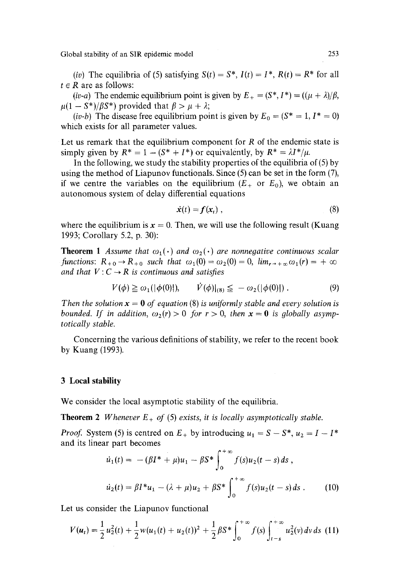*(iv)* The equilibria of (5) satisfying  $S(t) = S^*$ ,  $I(t) = I^*$ ,  $R(t) = R^*$  for all  $t \in R$  are as follows:

*(iv-a)* The endemic equilibrium point is given by  $E_{+} = (S^*, I^*) = ((\mu + \lambda)/\beta,$  $\mu(1 - S^*)/BS^*$  provided that  $\beta > \mu + \lambda$ ;

*(iv-b)* The disease free equilibrium point is given by  $E_0 = (S^* = 1, I^* = 0)$ which exists for all parameter values.

Let us remark that the equilibrium component for  $R$  of the endemic state is simply given by  $R^* = 1 - (S^* + I^*)$  or equivalently, by  $R^* = \lambda I^* / \mu$ .

In the following, we study the stability properties of the equilibria of (5) by using the method of Liapunov functionals. Since (5) can be set in the form (7), if we centre the variables on the equilibrium  $(E_{+}$  or  $E_{0}$ ), we obtain an autonomous system of delay differential equations

$$
\dot{\mathbf{x}}(t) = \mathbf{f}(\mathbf{x}_t) \tag{8}
$$

where the equilibrium is  $x = 0$ . Then, we will use the following result (Kuang 1993; Corollary 5.2, p. 30):

**Theorem 1** Assume that  $\omega_1(\cdot)$  and  $\omega_2(\cdot)$  are nonnegative continuous scalar *functions:*  $R_{+0} \rightarrow R_{+0}$  *such that*  $\omega_1(0) = \omega_2(0) = 0$ ,  $\lim_{r \to +\infty} \omega_1(r) = +\infty$ *and that*  $V: C \rightarrow R$  *is continuous and satisfies* 

$$
V(\phi) \ge \omega_1(|\phi(0)|), \qquad V(\phi)|_{(8)} \le -\omega_2(|\phi(0)|) \,. \tag{9}
$$

*Then the solution*  $x = 0$  *of equation* (8) *is uniformly stable and every solution is bounded. If in addition,*  $\omega_2(r) > 0$  for  $r > 0$ , then  $x = 0$  is globally asymp*totically stable.* 

Concerning the various definitions of stability, we refer to the recent book by Kuang (1993).

#### **3 Local stability**

We consider the local asymptotic stability of the equilibria.

**Theorem 2** *Whenever*  $E_+$  *of* (5) *exists, it is locally asymptotically stable.* 

*Proof.* System (5) is centred on  $E_+$  by introducing  $u_1 = S - S^*$ ,  $u_2 = I - I^*$ and its linear part becomes  $\lambda + \infty$ 

$$
\dot{u}_1(t) = -(\beta I^* + \mu)u_1 - \beta S^* \int_0^{+\infty} f(s)u_2(t-s) ds ,
$$
  

$$
\dot{u}_2(t) = \beta I^* u_1 - (\lambda + \mu)u_2 + \beta S^* \int_0^{+\infty} f(s)u_2(t-s) ds .
$$
 (10)

Let us consider the Liapunov functional

$$
V(u_t) = \frac{1}{2}u_2^2(t) + \frac{1}{2}w(u_1(t) + u_2(t))^2 + \frac{1}{2}\beta S^* \int_0^{+\infty} f(s) \int_{t-s}^{+\infty} u_2^2(v) dv ds
$$
 (11)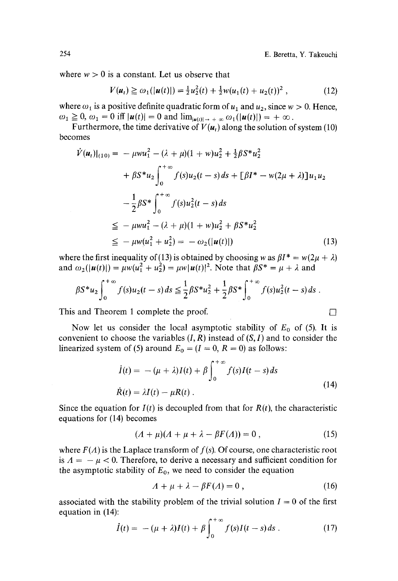where  $w > 0$  is a constant. Let us observe that

$$
V(u_t) \geq \omega_1(|u(t)|) = \frac{1}{2}u_2^2(t) + \frac{1}{2}w(u_1(t) + u_2(t))^2,
$$
 (12)

where  $\omega_1$  is a positive definite quadratic form of  $u_1$  and  $u_2$ , since  $w > 0$ . Hence,  $\omega_1 \geq 0$ ,  $\omega_1 = 0$  iff  $|\mathbf{u}(t)| = 0$  and  $\lim_{|\mathbf{u}(t)| \to +\infty} \omega_1(|\mathbf{u}(t)|) = +\infty$ .

Furthermore, the time derivative of  $V(u_t)$  along the solution of system (10) becomes

$$
\dot{V}(\mathbf{u}_{t})|_{(10)} = -\mu w u_{1}^{2} - (\lambda + \mu)(1 + w)u_{2}^{2} + \frac{1}{2}\beta S^{*}u_{2}^{2} \n+ \beta S^{*}u_{2} \int_{0}^{+\infty} f(s)u_{2}(t - s) ds + [\beta I^{*} - w(2\mu + \lambda)]u_{1}u_{2} \n- \frac{1}{2}\beta S^{*} \int_{0}^{+\infty} f(s)u_{2}^{2}(t - s) ds \n\leq - \mu w u_{1}^{2} - (\lambda + \mu)(1 + w)u_{2}^{2} + \beta S^{*}u_{2}^{2} \n\leq - \mu w(u_{1}^{2} + u_{2}^{2}) = - \omega_{2}(|\mathbf{u}(t)|)
$$
\n(13)

where the first inequality of (13) is obtained by choosing w as  $\beta I^* = w(2\mu + \lambda)$ and  $\omega_2(|u(t)|) = \mu w(u_1^2 + u_2^2) = \mu w |u(t)|^2$ . Note that  $\beta S^* = \mu + \lambda$  and

$$
\beta S^* u_2 \int_0^{+\infty} f(s) u_2(t-s) ds \leq \frac{1}{2} \beta S^* u_2^2 + \frac{1}{2} \beta S^* \int_0^{+\infty} f(s) u_2^2(t-s) ds.
$$

This and Theorem 1 complete the proof.  $\Box$ 

Now let us consider the local asymptotic stability of  $E_0$  of (5). It is convenient to choose the variables  $(I, R)$  instead of  $(S, I)$  and to consider the linearized system of (5) around  $E_0 = (I = 0, R = 0)$  as follows:

$$
\dot{I}(t) = -(\mu + \lambda)I(t) + \beta \int_0^{+\infty} f(s)I(t - s) ds
$$
\n
$$
\dot{R}(t) = \lambda I(t) - \mu R(t) .
$$
\n(14)

Since the equation for  $I(t)$  is decoupled from that for  $R(t)$ , the characteristic equations for (14) becomes

$$
(A + \mu)(A + \mu + \lambda - \beta F(A)) = 0, \qquad (15)
$$

where  $F(A)$  is the Laplace transform of  $f(s)$ . Of course, one characteristic root is  $A = -\mu < 0$ . Therefore, to derive a necessary and sufficient condition for the asymptotic stability of  $E_0$ , we need to consider the equation

$$
A + \mu + \lambda - \beta F(A) = 0, \qquad (16)
$$

associated with the stability problem of the trivial solution  $I = 0$  of the first equation in (14):

$$
\dot{I}(t) = -(\mu + \lambda)I(t) + \beta \int_0^{+\infty} f(s)I(t-s) ds . \qquad (17)
$$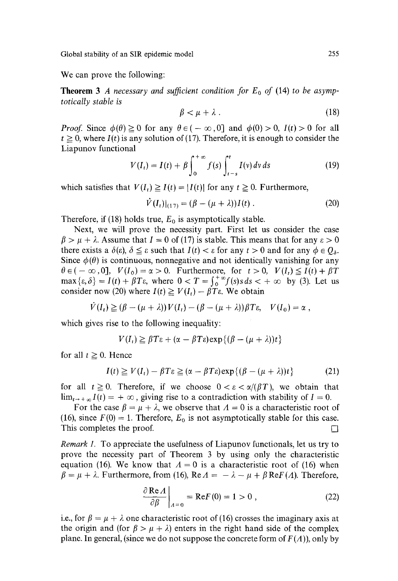We can prove the following:

**Theorem 3** A necessary and sufficient condition for  $E_0$  of (14) to be asymp*totically stable is* 

$$
\beta < \mu + \lambda \tag{18}
$$

*Proof.* Since  $\phi(\theta) \ge 0$  for any  $\theta \in (-\infty, 0]$  and  $\phi(0) > 0$ ,  $I(t) > 0$  for all  $t \ge 0$ , where  $I(t)$  is any solution of (17). Therefore, it is enough to consider the Liapunov functional

$$
V(I_t) = I(t) + \beta \int_0^{+\infty} f(s) \int_{t-s}^t I(v) dv ds \qquad (19)
$$

which satisfies that  $V(I_t) \geq I(t) = |I(t)|$  for any  $t \geq 0$ . Furthermore,

$$
\dot{V}(I_t)|_{(17)} = (\beta - (\mu + \lambda))I(t) \tag{20}
$$

Therefore, if (18) holds true,  $E_0$  is asymptotically stable.

Next, we will prove the necessity part. First let us consider the case  $\beta > \mu + \lambda$ . Assume that  $I = 0$  of (17) is stable. This means that for any  $\varepsilon > 0$ there exists a  $\delta(\varepsilon)$ ,  $\delta \leq \varepsilon$  such that  $I(t) < \varepsilon$  for any  $t > 0$  and for any  $\phi \in Q_{\delta}$ . Since  $\phi(\theta)$  is continuous, nonnegative and not identically vanishing for any  $\theta \in (-\infty, 0], V(I_0) = \alpha > 0.$  Furthermore, for  $t > 0$ ,  $V(I_t) \leq I(t) + \beta T$  $\max{\varepsilon, \delta} = I(t) + \beta T \varepsilon$ , where  $0 < T = \int_0^\infty f(s) s \, ds < +\infty$  by (3). Let us consider now (20) where  $I(t) \geq V(I_t) - \beta T \varepsilon$ . We obtain

$$
\dot{V}(I_t) \geq (\beta - (\mu + \lambda)) V(I_t) - (\beta - (\mu + \lambda)) \beta T \varepsilon, \quad V(I_0) = \alpha,
$$

which gives rise to the following inequality:

$$
V(I_t) \geq \beta T \varepsilon + (\alpha - \beta T \varepsilon) \exp\{(\beta - (\mu + \lambda))t\}
$$

for all  $t \geq 0$ . Hence

$$
I(t) \ge V(I_t) - \beta T \varepsilon \ge (\alpha - \beta T \varepsilon) \exp\{(\beta - (\mu + \lambda))t\}
$$
 (21)

for all  $t \ge 0$ . Therefore, if we choose  $0 < \varepsilon < \alpha/(\beta T)$ , we obtain that  $\lim_{t\to +\infty} I(t) = +\infty$ , giving rise to a contradiction with stability of  $I = 0$ .

For the case  $\beta = \mu + \lambda$ , we observe that  $\Lambda = 0$  is a characteristic root of (16), since  $F(0) = 1$ . Therefore,  $E_0$  is not asymptotically stable for this case. This completes the proof.

*Remark 1.* To appreciate the usefulness of Liapunov functionals, let us try to prove the necessity part of Theorem 3 by using only the characteristic equation (16). We know that  $A = 0$  is a characteristic root of (16) when  $\beta = \mu + \lambda$ . Furthermore, from (16), Re  $\Lambda = -\lambda - \mu + \beta \text{Re}F(\Lambda)$ . Therefore,

$$
\left. \frac{\partial \operatorname{Re} A}{\partial \beta} \right|_{A=0} = \operatorname{Re} F(0) = 1 > 0 , \qquad (22)
$$

i.e., for  $\beta = \mu + \lambda$  one characteristic root of (16) crosses the imaginary axis at the origin and (for  $\beta > \mu + \lambda$ ) enters in the right hand side of the complex plane. In general, (since we do not suppose the concrete form of  $F(A)$ ), only by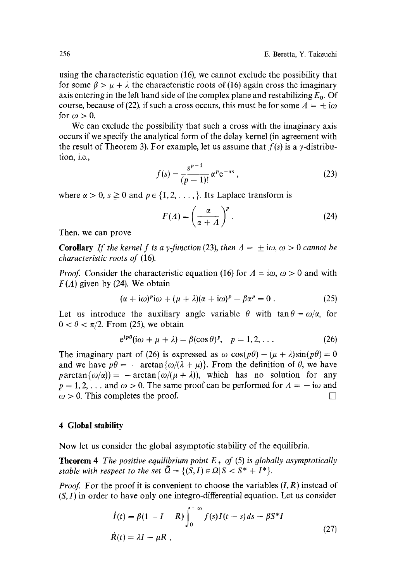using the characteristic equation (16), we cannot exclude the possibility that for some  $\beta > \mu + \lambda$  the characteristic roots of (16) again cross the imaginary axis entering in the left hand side of the complex plane and restabilizing  $E_0$ . Of course, because of (22), if such a cross occurs, this must be for some  $A = +i\omega$ for  $\omega > 0$ .

We can exclude the possibility that such a cross with the imaginary axis occurs if we specify the analytical form of the delay kernel (in agreement with the result of Theorem 3). For example, let us assume that  $f(s)$  is a *y*-distribution, i.e.,

$$
f(s) = \frac{s^{p-1}}{(p-1)!} \alpha^p e^{-\alpha s},
$$
\n(23)

where  $\alpha > 0$ ,  $s \ge 0$  and  $p \in \{1, 2, \ldots\}$ . Its Laplace transform is

$$
F(A) = \left(\frac{\alpha}{\alpha + A}\right)^p.
$$
 (24)

Then, we can prove

**Corollary** *If the kernel f is a y-function (23), then*  $A = \pm i\omega$ ,  $\omega > 0$  *cannot be characteristic roots of* (16).

*Proof.* Consider the characteristic equation (16) for  $\Lambda = i\omega$ ,  $\omega > 0$  and with  $F(\Lambda)$  given by (24). We obtain

$$
(\alpha + i\omega)^p i\omega + (\mu + \lambda)(\alpha + i\omega)^p - \beta \alpha^p = 0.
$$
 (25)

Let us introduce the auxiliary angle variable  $\theta$  with tan  $\theta = \omega/\alpha$ , for  $0 < \theta < \pi/2$ . From (25), we obtain

$$
e^{ip\theta}(i\omega + \mu + \lambda) = \beta(\cos \theta)^p, \quad p = 1, 2, \dots
$$
 (26)

The imaginary part of (26) is expressed as  $\omega \cos(p\theta) + (\mu + \lambda)\sin(p\theta) = 0$ and we have  $p\theta = -\arctan{\{\omega/(\lambda + \mu)\}}$ . From the definition of  $\theta$ , we have  $\text{partan}\{\omega/\alpha\}=-\arctan\{\omega/(\mu+\lambda)\},\,$  which has no solution for any  $p = 1, 2, \ldots$  and  $\omega > 0$ . The same proof can be performed for  $\Lambda = -i\omega$  and  $\omega > 0$ . This completes the proof.

### **4 Global stability**

Now let us consider the global asymptotic stability of the equilibria.

**Theorem 4** *The positive equilibrium point*  $E_{+}$  *of* (5) *is globally asymptotically stable with respect to the set*  $\tilde{Q} = \{(S, I) \in \Omega | S < S^* + I^* \}.$ 

*Proof.* For the proof it is convenient to choose the variables  $(I, R)$  instead of  $(S, I)$  in order to have only one integro-differential equation. Let us consider

$$
\dot{I}(t) = \beta(1 - I - R) \int_0^{+\infty} f(s)I(t - s)ds - \beta S^*I
$$
  

$$
\dot{R}(t) = \lambda I - \mu R,
$$
 (27)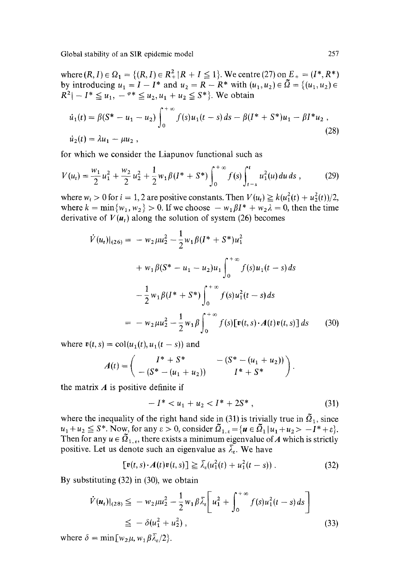where  $(R, I) \in \Omega_1 = \{(R, I) \in R_+^2 | R + I \leq 1\}$ . We centre (27) on  $E_+ = (I^*, R^*)$ by introducing  $u_1 = I - I^*$  and  $u_2 = R - R^*$  with  $(u_1, u_2) \in \tilde{\Omega} = \{(u_1, u_2) \in \tilde{\Omega}\}$  $R^2$  $- I^* \le u_1$ ,  $- 100$   $u_2$ ,  $u_1 + u_2 \le S^*$ . We obtain

$$
\dot{u}_1(t) = \beta(S^* - u_1 - u_2) \int_0^{+\infty} f(s)u_1(t-s)ds - \beta(I^* + S^*)u_1 - \beta I^*u_2,
$$
  
\n
$$
\dot{u}_2(t) = \lambda u_1 - \mu u_2,
$$
\n(28)

for which we consider the Liapunov functional such as

$$
V(u_t) = \frac{w_1}{2}u_1^2 + \frac{w_2}{2}u_2^2 + \frac{1}{2}w_1\beta(I^* + S^*)\int_0^{+\infty}f(s)\int_{t-s}^t u_1^2(u)\,du\,ds\,,\tag{29}
$$

where  $w_i > 0$  for  $i = 1, 2$  are positive constants. Then  $V(u_i) \ge k(u_1^2(t) + u_2^2(t))/2$ , where  $k = \min\{w_1, w_2\} > 0$ . If we choose  $-w_1\beta I^* + w_2\lambda = 0$ , then the time derivative of  $V(u_t)$  along the solution of system (26) becomes

$$
\dot{V}(u_t)|_{(26)} = -w_2 \mu u_2^2 - \frac{1}{2} w_1 \beta (I^* + S^*) u_1^2
$$
  
+  $w_1 \beta (S^* - u_1 - u_2) u_1 \int_0^{+\infty} f(s) u_1(t - s) ds$   

$$
- \frac{1}{2} w_1 \beta (I^* + S^*) \int_0^{+\infty} f(s) u_1^2(t - s) ds
$$
  

$$
= -w_2 \mu u_2^2 - \frac{1}{2} w_1 \beta \int_0^{+\infty} f(s) [v(t, s) \cdot A(t) v(t, s)] ds \qquad (30)
$$

where  $v(t, s) = \text{col}(u_1(t), u_1(t - s))$  and

$$
A(t) = \begin{pmatrix} I^* + S^* & - (S^* - (u_1 + u_2)) \\ - (S^* - (u_1 + u_2)) & I^* + S^* \end{pmatrix}.
$$

the matrix  $A$  is positive definite if

$$
-I^* < u_1 + u_2 < I^* + 2S^*,\tag{31}
$$

where the inequality of the right hand side in (31) is trivially true in  $\tilde{\Omega}_1$ , since  $u_1 + u_2 \le S^*$ . Now, for any  $\varepsilon > 0$ , consider  $\Omega_{1,\varepsilon} = \{u \in \Omega_1 | u_1 + u_2 > -I^* + \varepsilon\}.$ Then for any  $u \in \Omega_{1,\varepsilon}$ , there exists a minimum eigenvalue of A which is strictly positive. Let us denote such an eigenvalue as  $\overline{\lambda}_{\epsilon}$ . We have

$$
[\mathbf{v}(t,s)\cdot A(t)\mathbf{v}(t,s)] \geq \bar{\lambda}_{s}(u_1^2(t) + u_1^2(t-s))\,. \tag{32}
$$

By substituting (32) in (30), we obtain

$$
\dot{V}(\boldsymbol{u}_t)|_{(28)} \leq -w_2 \mu u_2^2 - \frac{1}{2} w_1 \beta \bar{\lambda}_t \bigg[ u_1^2 + \int_0^{+\infty} f(s) u_1^2(t-s) ds \bigg] \leq -\delta(u_1^2 + u_2^2), \tag{33}
$$

where  $\delta = \min[w_2 \mu, w_1 \beta \overline{\lambda}_2/2]$ .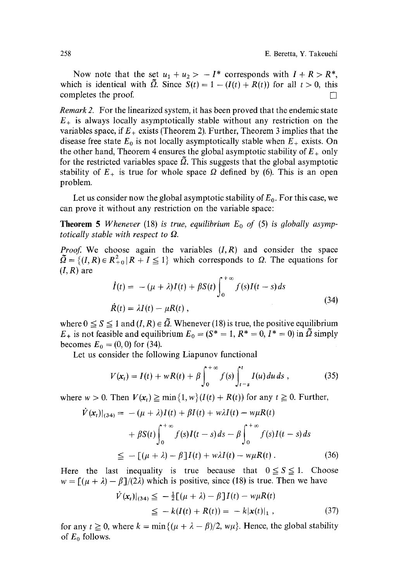Now note that the set  $u_1 + u_2 > -1^*$  corresponds with  $I + R > R^*$ , which is identical with  $\tilde{Q}$ . Since  $S(t) = 1 - (I(t) + R(t))$  for all  $t > 0$ , this completes the proof.  $\Box$ 

*Remark 2.* For the linearized system, it has been proved that the endemic state  $E_{+}$  is always locally asymptotically stable without any restriction on the variables space, if  $E_{+}$  exists (Theorem 2). Further, Theorem 3 implies that the disease free state  $E_0$  is not locally asymptotically stable when  $E_+$  exists. On the other hand, Theorem 4 ensures the global asymptotic stability of  $E_{+}$  only for the restricted variables space  $\tilde{\Omega}$ . This suggests that the global asymptotic stability of  $E_+$  is true for whole space  $\Omega$  defined by (6). This is an open problem.

Let us consider now the global asymptotic stability of  $E_0$ . For this case, we can prove it without any restriction on the variable space:

**Theorem 5** *Whenever* (18) *is true, equilibrium*  $E_0$  *of* (5) *is globally asymptotically stable with respect to*  $\Omega$ *.* 

*Proof.* We choose again the variables  $(I, R)$  and consider the space  $\tilde{\Omega} = \{(I, R) \in R_{+0}^2 | R + I \leq 1\}$  which corresponds to  $\Omega$ . The equations for  $(I, R)$  are

$$
\dot{I}(t) = -(\mu + \lambda)I(t) + \beta S(t) \int_0^{+\infty} f(s)I(t-s) ds
$$
\n
$$
\dot{R}(t) = \lambda I(t) - \mu R(t) ,
$$
\n(34)

where  $0 \leq S \leq 1$  and  $(I, R) \in \tilde{\Omega}$ . Whenever (18) is true, the positive equilibrium  $E_{+}$  is not feasible and equilibrium  $E_0 = (S^* = 1, R^* = 0, I^* = 0)$  in  $\tilde{\Omega}$  simply becomes  $E_0 = (0, 0)$  for (34).

Let us consider the following Liapunov functional

$$
V(\mathbf{x}_t) = I(t) + wR(t) + \beta \int_0^{+\infty} f(s) \int_{t-s}^t I(u) \, du \, ds \,, \tag{35}
$$

where  $w > 0$ . Then  $V(x_t) \ge \min\{1, w\}(I(t) + R(t))$  for any  $t \ge 0$ . Further,

$$
\dot{V}(\mathbf{x}_t)|_{(34)} = -(\mu + \lambda)I(t) + \beta I(t) + w\lambda I(t) - w\mu R(t)
$$
  
+  $\beta S(t) \int_0^{+\infty} f(s)I(t-s)ds - \beta \int_0^{+\infty} f(s)I(t-s)ds$   

$$
\leq -[(\mu + \lambda) - \beta]I(t) + w\lambda I(t) - w\mu R(t).
$$
 (36)

Here the last inequality is true because that  $0 \leq S \leq 1$ . Choose  $w = [(\mu + \lambda) - \beta]/(2\lambda)$  which is positive, since (18) is true. Then we have

$$
\dot{V}(x_t)|_{(34)} \leq -\frac{1}{2}[(\mu + \lambda) - \beta]I(t) - w\mu R(t) \leq -k(I(t) + R(t)) = -k|x(t)|_1,
$$
\n(37)

for any  $t \ge 0$ , where  $k = \min\{(\mu + \lambda - \beta)/2, w\mu\}$ . Hence, the global stability of  $E_0$  follows.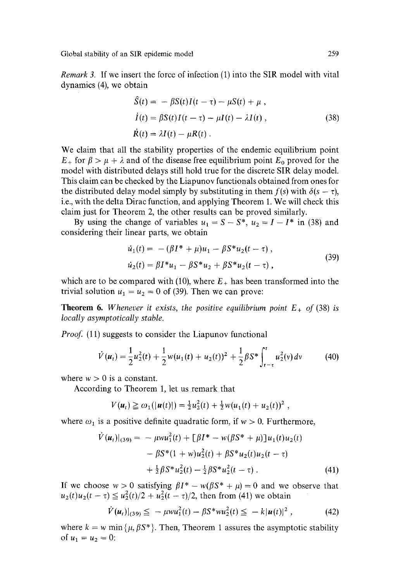*Remark 3.* If we insert the force of infection (1) into the SIR model with vital dynamics (4), we obtain

$$
\hat{S}(t) = -\beta S(t)I(t-\tau) - \mu S(t) + \mu,
$$
\n
$$
\dot{I}(t) = \beta S(t)I(t-\tau) - \mu I(t) - \lambda I(t),
$$
\n
$$
\dot{R}(t) = \lambda I(t) - \mu R(t).
$$
\n(38)

We claim that all the stability properties of the endemic equilibrium point  $E_{+}$  for  $\beta > \mu + \lambda$  and of the disease free equilibrium point  $E_0$  proved for the model with distributed delays still hold true for the discrete SIR delay model. This claim can be checked by the Liapunov functionals obtained from ones for the distributed delay model simply by substituting in them  $f(s)$  with  $\delta(s - \tau)$ , i.e., with the delta Dirac function, and applying Theorem 1. We will check this claim just for Theorem 2, the other results can be proved similarly.

By using the change of variables  $u_1 = S - S^*$ ,  $u_2 = I - I^*$  in (38) and considering their linear parts, we obtain

$$
\begin{aligned} \n\dot{u}_1(t) &= \ -\left(\beta I^* + \mu\right)u_1 - \beta S^* u_2(t - \tau) \,, \\ \n\dot{u}_2(t) &= \beta I^* u_1 - \beta S^* u_2 + \beta S^* u_2(t - \tau) \,, \n\end{aligned} \tag{39}
$$

which are to be compared with (10), where  $E_{+}$  has been transformed into the trivial solution  $u_1 = u_2 = 0$  of (39). Then we can prove:

**Theorem 6.** *Whenever it exists, the positive equilibrium point*  $E_{+}$  *of* (38) *is locally asymptotically stable.* 

*Proof.* (11) suggests to consider the Liapunov functional

$$
\dot{V}(u_t) = \frac{1}{2}u_2^2(t) + \frac{1}{2}w(u_1(t) + u_2(t))^2 + \frac{1}{2}\beta S^* \int_{t-\tau}^t u_2^2(v) dv \qquad (40)
$$

where  $w > 0$  is a constant.

According to Theorem 1, let us remark that

$$
V(u_t) \geq \omega_1(|u(t)|) = \frac{1}{2}u_2^2(t) + \frac{1}{2}w(u_1(t) + u_2(t))^2,
$$

where  $\omega_1$  is a positive definite quadratic form, if  $w > 0$ . Furthermore,

$$
\dot{V}(\mathbf{u}_{t})|_{(39)} = -\mu w u_{1}^{2}(t) + [\beta I^{*} - w(\beta S^{*} + \mu)]u_{1}(t)u_{2}(t) \n- \beta S^{*}(1 + w)u_{2}^{2}(t) + \beta S^{*}u_{2}(t)u_{2}(t - \tau) \n+ \frac{1}{2}\beta S^{*}u_{2}^{2}(t) - \frac{1}{2}\beta S^{*}u_{2}^{2}(t - \tau).
$$
\n(41)

If we choose  $w > 0$  satisfying  $\beta I^* - w(\beta S^* + \mu) = 0$  and we observe that  $u_2(t)u_2(t-\tau) \leq u_2^2(t)/2 + u_2^2(t-\tau)/2$ , then from (41) we obtain

$$
\dot{V}(\boldsymbol{u}_t)|_{(39)} \leq -\mu w u_1^2(t) - \beta S^* w u_2^2(t) \leq -k |\boldsymbol{u}(t)|^2 , \qquad (42)
$$

where  $k = w \min \{ \mu, \beta S^* \}$ . Then, Theorem 1 assures the asymptotic stability of  $u_1 = u_2 = 0$ :